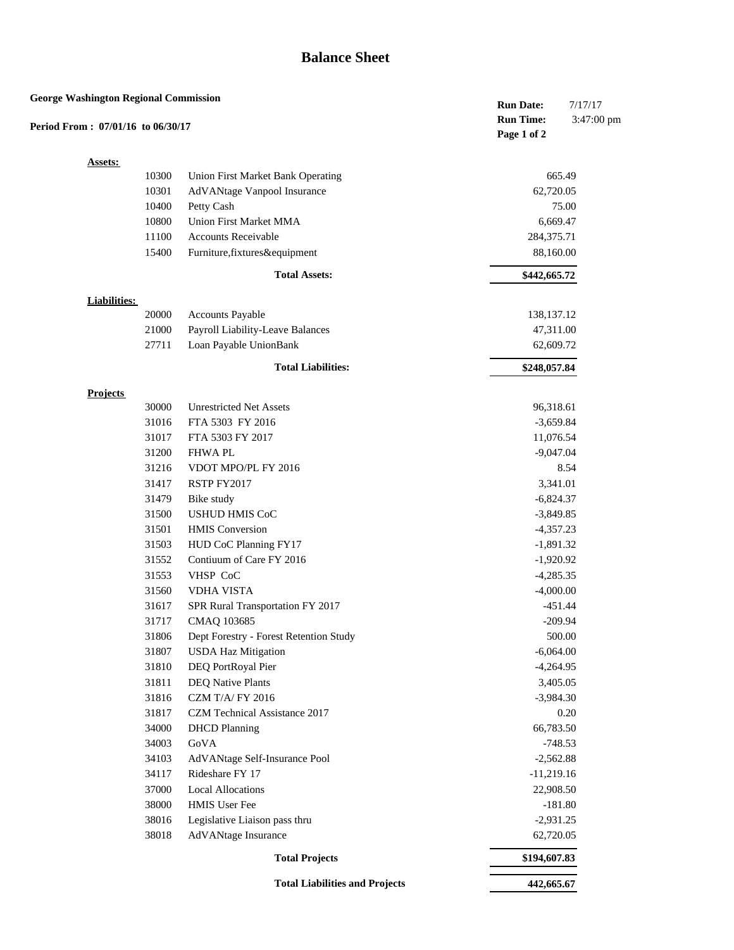| <b>George Washington Regional Commission</b><br>Period From: 07/01/16 to 06/30/17 |                     |       |                                        | <b>Run Date:</b><br><b>Run Time:</b> | 7/17/17<br>3:47:00 pm |
|-----------------------------------------------------------------------------------|---------------------|-------|----------------------------------------|--------------------------------------|-----------------------|
|                                                                                   |                     |       |                                        | Page 1 of 2                          |                       |
|                                                                                   | <b>Assets:</b>      |       |                                        |                                      |                       |
|                                                                                   |                     | 10300 | Union First Market Bank Operating      |                                      | 665.49                |
|                                                                                   |                     | 10301 | AdVANtage Vanpool Insurance            | 62,720.05                            |                       |
|                                                                                   |                     | 10400 | Petty Cash                             |                                      | 75.00                 |
|                                                                                   |                     | 10800 | Union First Market MMA                 | 6,669.47                             |                       |
|                                                                                   |                     | 11100 | <b>Accounts Receivable</b>             | 284,375.71                           |                       |
|                                                                                   |                     | 15400 | Furniture, fixtures&equipment          | 88,160.00                            |                       |
|                                                                                   |                     |       | <b>Total Assets:</b>                   | \$442,665.72                         |                       |
|                                                                                   | <b>Liabilities:</b> |       |                                        |                                      |                       |
|                                                                                   |                     | 20000 | <b>Accounts Payable</b>                | 138,137.12                           |                       |
|                                                                                   |                     | 21000 | Payroll Liability-Leave Balances       | 47,311.00                            |                       |
|                                                                                   |                     | 27711 | Loan Payable UnionBank                 | 62,609.72                            |                       |
|                                                                                   |                     |       | <b>Total Liabilities:</b>              | \$248,057.84                         |                       |
|                                                                                   | <b>Projects</b>     |       |                                        |                                      |                       |
|                                                                                   |                     | 30000 | <b>Unrestricted Net Assets</b>         | 96,318.61                            |                       |
|                                                                                   |                     | 31016 | FTA 5303 FY 2016                       | $-3,659.84$                          |                       |
|                                                                                   |                     | 31017 | FTA 5303 FY 2017                       | 11,076.54                            |                       |
|                                                                                   |                     | 31200 | <b>FHWAPL</b>                          | $-9,047.04$                          |                       |
|                                                                                   |                     | 31216 | VDOT MPO/PL FY 2016                    |                                      | 8.54                  |
|                                                                                   |                     | 31417 | RSTP FY2017                            | 3,341.01                             |                       |
|                                                                                   |                     | 31479 | Bike study                             | $-6,824.37$                          |                       |
|                                                                                   |                     | 31500 | <b>USHUD HMIS CoC</b>                  | $-3,849.85$                          |                       |
|                                                                                   |                     | 31501 | <b>HMIS</b> Conversion                 | $-4,357.23$                          |                       |
|                                                                                   |                     | 31503 | HUD CoC Planning FY17                  | $-1,891.32$                          |                       |
|                                                                                   |                     | 31552 | Contiuum of Care FY 2016               | $-1,920.92$                          |                       |
|                                                                                   |                     | 31553 | VHSP CoC                               | $-4,285.35$                          |                       |
|                                                                                   |                     | 31560 | <b>VDHA VISTA</b>                      | $-4,000.00$                          |                       |
|                                                                                   |                     | 31617 | SPR Rural Transportation FY 2017       |                                      | $-451.44$             |
|                                                                                   |                     | 31717 | CMAQ 103685                            |                                      | $-209.94$             |
|                                                                                   |                     | 31806 | Dept Forestry - Forest Retention Study |                                      | 500.00                |
|                                                                                   |                     | 31807 | <b>USDA Haz Mitigation</b>             | $-6,064.00$                          |                       |
|                                                                                   |                     | 31810 | DEQ PortRoyal Pier                     | $-4,264.95$                          |                       |
|                                                                                   |                     | 31811 | <b>DEQ Native Plants</b>               | 3,405.05                             |                       |
|                                                                                   |                     | 31816 | <b>CZM T/A/FY 2016</b>                 | $-3,984.30$                          |                       |
|                                                                                   |                     | 31817 | CZM Technical Assistance 2017          |                                      | 0.20                  |
|                                                                                   |                     | 34000 | <b>DHCD</b> Planning                   | 66,783.50                            |                       |
|                                                                                   |                     | 34003 | ${\rm GoVA}$                           |                                      | $-748.53$             |
|                                                                                   |                     | 34103 | AdVANtage Self-Insurance Pool          | $-2,562.88$                          |                       |
|                                                                                   |                     | 34117 | Rideshare FY 17                        | $-11,219.16$                         |                       |
|                                                                                   |                     | 37000 | <b>Local Allocations</b>               | 22,908.50                            |                       |
|                                                                                   |                     | 38000 | HMIS User Fee                          |                                      | $-181.80$             |
|                                                                                   |                     | 38016 | Legislative Liaison pass thru          | $-2,931.25$                          |                       |
|                                                                                   |                     | 38018 | AdVANtage Insurance                    | 62,720.05                            |                       |
|                                                                                   |                     |       | <b>Total Projects</b>                  | \$194,607.83                         |                       |
|                                                                                   |                     |       | <b>Total Liabilities and Projects</b>  | 442,665.67                           |                       |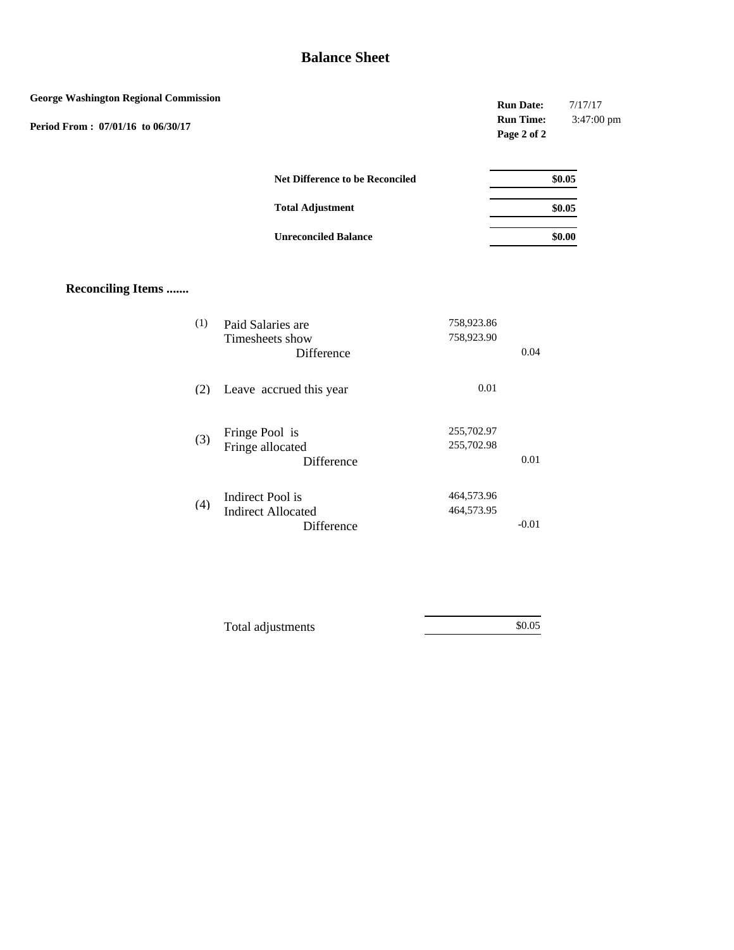| <b>George Washington Regional Commission</b><br>Period From: 07/01/16 to 06/30/17 |     |                                                             |                          | <b>Run Date:</b><br><b>Run Time:</b><br>Page 2 of 2 | 7/17/17<br>3:47:00 pm |
|-----------------------------------------------------------------------------------|-----|-------------------------------------------------------------|--------------------------|-----------------------------------------------------|-----------------------|
|                                                                                   |     | Net Difference to be Reconciled                             |                          |                                                     | \$0.05                |
|                                                                                   |     | <b>Total Adjustment</b>                                     |                          |                                                     | \$0.05                |
|                                                                                   |     | <b>Unreconciled Balance</b>                                 |                          |                                                     | \$0.00                |
| <b>Reconciling Items </b>                                                         |     |                                                             |                          |                                                     |                       |
|                                                                                   | (1) | Paid Salaries are<br>Timesheets show<br>Difference          | 758,923.86<br>758,923.90 | 0.04                                                |                       |
|                                                                                   | (2) | Leave accrued this year                                     | $0.01\,$                 |                                                     |                       |
|                                                                                   | (3) | Fringe Pool is<br>Fringe allocated<br>Difference            | 255,702.97<br>255,702.98 | $0.01\,$                                            |                       |
|                                                                                   | (4) | Indirect Pool is<br><b>Indirect Allocated</b><br>Difference | 464,573.96<br>464,573.95 | $-0.01$                                             |                       |

| Total adjustments | \$0.05 |
|-------------------|--------|
|                   |        |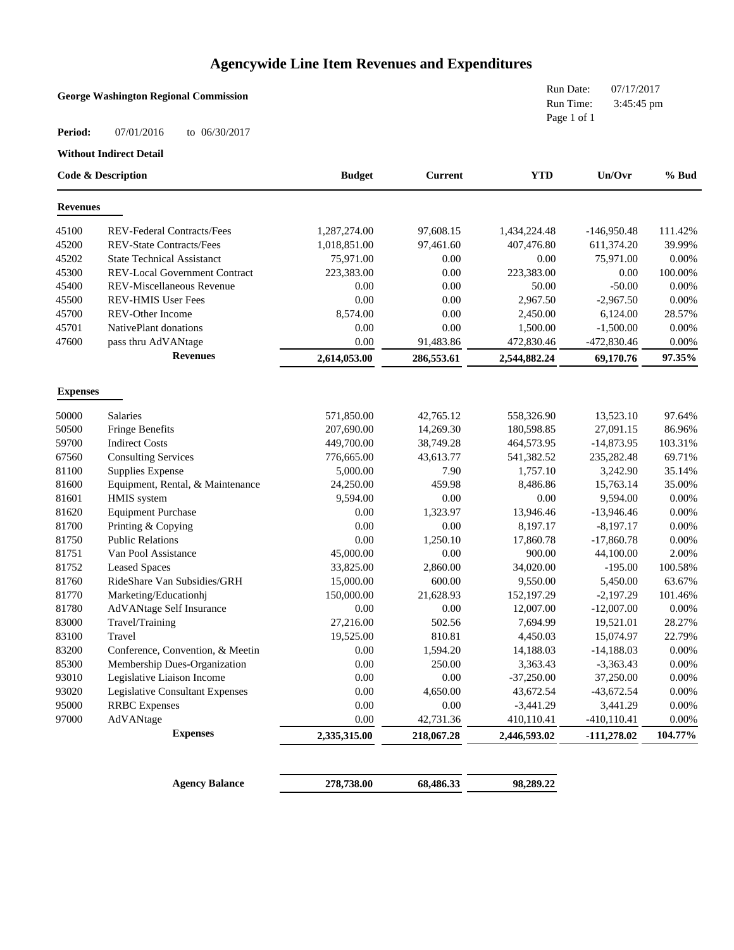# **Agencywide Line Item Revenues and Expenditures**

| Page 1 of 1<br>Period:<br>07/01/2016<br>to 06/30/2017<br><b>Without Indirect Detail</b><br><b>YTD</b><br>Un/Ovr<br>Code & Description<br><b>Budget</b><br><b>Current</b><br><b>Revenues</b><br>45100<br>REV-Federal Contracts/Fees<br>1,287,274.00<br>97,608.15<br>1,434,224.48<br>$-146,950.48$<br>45200<br><b>REV-State Contracts/Fees</b><br>1,018,851.00<br>97,461.60<br>611,374.20<br>407,476.80<br>45202<br><b>State Technical Assistanct</b><br>75,971.00<br>75,971.00<br>0.00<br>0.00<br>45300<br><b>REV-Local Government Contract</b><br>223,383.00<br>0.00<br>223,383.00<br>0.00<br>45400<br>REV-Miscellaneous Revenue<br>0.00<br>0.00<br>50.00<br>$-50.00$<br>45500<br>REV-HMIS User Fees<br>0.00<br>0.00<br>$-2,967.50$<br>2,967.50<br>45700<br>8,574.00<br>0.00<br>REV-Other Income<br>2,450.00<br>6,124.00<br>45701<br>NativePlant donations<br>0.00<br>0.00<br>1,500.00<br>$-1,500.00$<br>47600<br>0.00<br>pass thru AdVANtage<br>91,483.86<br>472,830.46<br>-472,830.46<br><b>Revenues</b><br>2,614,053.00<br>286,553.61<br>2,544,882.24<br>69,170.76<br><b>Expenses</b><br>50000<br>571,850.00<br>42,765.12<br>558,326.90<br>13,523.10<br><b>Salaries</b><br>50500<br><b>Fringe Benefits</b><br>207,690.00<br>14,269.30<br>180,598.85<br>27,091.15<br>59700<br><b>Indirect Costs</b><br>449,700.00<br>38,749.28<br>$-14,873.95$<br>464,573.95<br>67560<br><b>Consulting Services</b><br>776,665.00<br>43,613.77<br>541,382.52<br>235,282.48<br>81100<br>Supplies Expense<br>5,000.00<br>7.90<br>1,757.10<br>3,242.90<br>81600<br>Equipment, Rental, & Maintenance<br>24,250.00<br>459.98<br>8,486.86<br>15,763.14<br>81601<br>HMIS system<br>9,594.00<br>0.00<br>0.00<br>9,594.00<br>81620<br><b>Equipment Purchase</b><br>0.00<br>1,323.97<br>$-13,946.46$<br>13,946.46<br>81700<br>Printing & Copying<br>0.00<br>0.00<br>$-8,197.17$<br>8,197.17<br>81750<br><b>Public Relations</b><br>0.00<br>1,250.10<br>17,860.78<br>$-17,860.78$<br>81751<br>Van Pool Assistance<br>45,000.00<br>0.00<br>900.00<br>44,100.00 |
|--------------------------------------------------------------------------------------------------------------------------------------------------------------------------------------------------------------------------------------------------------------------------------------------------------------------------------------------------------------------------------------------------------------------------------------------------------------------------------------------------------------------------------------------------------------------------------------------------------------------------------------------------------------------------------------------------------------------------------------------------------------------------------------------------------------------------------------------------------------------------------------------------------------------------------------------------------------------------------------------------------------------------------------------------------------------------------------------------------------------------------------------------------------------------------------------------------------------------------------------------------------------------------------------------------------------------------------------------------------------------------------------------------------------------------------------------------------------------------------------------------------------------------------------------------------------------------------------------------------------------------------------------------------------------------------------------------------------------------------------------------------------------------------------------------------------------------------------------------------------------------------------------------------------------------------------------------------------------------------------------------------------------------------|
|                                                                                                                                                                                                                                                                                                                                                                                                                                                                                                                                                                                                                                                                                                                                                                                                                                                                                                                                                                                                                                                                                                                                                                                                                                                                                                                                                                                                                                                                                                                                                                                                                                                                                                                                                                                                                                                                                                                                                                                                                                      |
| $%$ Bud                                                                                                                                                                                                                                                                                                                                                                                                                                                                                                                                                                                                                                                                                                                                                                                                                                                                                                                                                                                                                                                                                                                                                                                                                                                                                                                                                                                                                                                                                                                                                                                                                                                                                                                                                                                                                                                                                                                                                                                                                              |
| 111.42%<br>39.99%<br>0.00%<br>100.00%<br>0.00%<br>0.00%<br>28.57%                                                                                                                                                                                                                                                                                                                                                                                                                                                                                                                                                                                                                                                                                                                                                                                                                                                                                                                                                                                                                                                                                                                                                                                                                                                                                                                                                                                                                                                                                                                                                                                                                                                                                                                                                                                                                                                                                                                                                                    |
|                                                                                                                                                                                                                                                                                                                                                                                                                                                                                                                                                                                                                                                                                                                                                                                                                                                                                                                                                                                                                                                                                                                                                                                                                                                                                                                                                                                                                                                                                                                                                                                                                                                                                                                                                                                                                                                                                                                                                                                                                                      |
|                                                                                                                                                                                                                                                                                                                                                                                                                                                                                                                                                                                                                                                                                                                                                                                                                                                                                                                                                                                                                                                                                                                                                                                                                                                                                                                                                                                                                                                                                                                                                                                                                                                                                                                                                                                                                                                                                                                                                                                                                                      |
|                                                                                                                                                                                                                                                                                                                                                                                                                                                                                                                                                                                                                                                                                                                                                                                                                                                                                                                                                                                                                                                                                                                                                                                                                                                                                                                                                                                                                                                                                                                                                                                                                                                                                                                                                                                                                                                                                                                                                                                                                                      |
|                                                                                                                                                                                                                                                                                                                                                                                                                                                                                                                                                                                                                                                                                                                                                                                                                                                                                                                                                                                                                                                                                                                                                                                                                                                                                                                                                                                                                                                                                                                                                                                                                                                                                                                                                                                                                                                                                                                                                                                                                                      |
|                                                                                                                                                                                                                                                                                                                                                                                                                                                                                                                                                                                                                                                                                                                                                                                                                                                                                                                                                                                                                                                                                                                                                                                                                                                                                                                                                                                                                                                                                                                                                                                                                                                                                                                                                                                                                                                                                                                                                                                                                                      |
|                                                                                                                                                                                                                                                                                                                                                                                                                                                                                                                                                                                                                                                                                                                                                                                                                                                                                                                                                                                                                                                                                                                                                                                                                                                                                                                                                                                                                                                                                                                                                                                                                                                                                                                                                                                                                                                                                                                                                                                                                                      |
|                                                                                                                                                                                                                                                                                                                                                                                                                                                                                                                                                                                                                                                                                                                                                                                                                                                                                                                                                                                                                                                                                                                                                                                                                                                                                                                                                                                                                                                                                                                                                                                                                                                                                                                                                                                                                                                                                                                                                                                                                                      |
| 0.00%<br>0.00%<br>97.35%<br>97.64%<br>86.96%<br>103.31%<br>69.71%<br>35.14%<br>35.00%<br>0.00%<br>0.00%<br>0.00%<br>0.00%<br>2.00%                                                                                                                                                                                                                                                                                                                                                                                                                                                                                                                                                                                                                                                                                                                                                                                                                                                                                                                                                                                                                                                                                                                                                                                                                                                                                                                                                                                                                                                                                                                                                                                                                                                                                                                                                                                                                                                                                                   |
|                                                                                                                                                                                                                                                                                                                                                                                                                                                                                                                                                                                                                                                                                                                                                                                                                                                                                                                                                                                                                                                                                                                                                                                                                                                                                                                                                                                                                                                                                                                                                                                                                                                                                                                                                                                                                                                                                                                                                                                                                                      |
|                                                                                                                                                                                                                                                                                                                                                                                                                                                                                                                                                                                                                                                                                                                                                                                                                                                                                                                                                                                                                                                                                                                                                                                                                                                                                                                                                                                                                                                                                                                                                                                                                                                                                                                                                                                                                                                                                                                                                                                                                                      |
|                                                                                                                                                                                                                                                                                                                                                                                                                                                                                                                                                                                                                                                                                                                                                                                                                                                                                                                                                                                                                                                                                                                                                                                                                                                                                                                                                                                                                                                                                                                                                                                                                                                                                                                                                                                                                                                                                                                                                                                                                                      |
|                                                                                                                                                                                                                                                                                                                                                                                                                                                                                                                                                                                                                                                                                                                                                                                                                                                                                                                                                                                                                                                                                                                                                                                                                                                                                                                                                                                                                                                                                                                                                                                                                                                                                                                                                                                                                                                                                                                                                                                                                                      |
|                                                                                                                                                                                                                                                                                                                                                                                                                                                                                                                                                                                                                                                                                                                                                                                                                                                                                                                                                                                                                                                                                                                                                                                                                                                                                                                                                                                                                                                                                                                                                                                                                                                                                                                                                                                                                                                                                                                                                                                                                                      |
|                                                                                                                                                                                                                                                                                                                                                                                                                                                                                                                                                                                                                                                                                                                                                                                                                                                                                                                                                                                                                                                                                                                                                                                                                                                                                                                                                                                                                                                                                                                                                                                                                                                                                                                                                                                                                                                                                                                                                                                                                                      |
|                                                                                                                                                                                                                                                                                                                                                                                                                                                                                                                                                                                                                                                                                                                                                                                                                                                                                                                                                                                                                                                                                                                                                                                                                                                                                                                                                                                                                                                                                                                                                                                                                                                                                                                                                                                                                                                                                                                                                                                                                                      |
|                                                                                                                                                                                                                                                                                                                                                                                                                                                                                                                                                                                                                                                                                                                                                                                                                                                                                                                                                                                                                                                                                                                                                                                                                                                                                                                                                                                                                                                                                                                                                                                                                                                                                                                                                                                                                                                                                                                                                                                                                                      |
|                                                                                                                                                                                                                                                                                                                                                                                                                                                                                                                                                                                                                                                                                                                                                                                                                                                                                                                                                                                                                                                                                                                                                                                                                                                                                                                                                                                                                                                                                                                                                                                                                                                                                                                                                                                                                                                                                                                                                                                                                                      |
|                                                                                                                                                                                                                                                                                                                                                                                                                                                                                                                                                                                                                                                                                                                                                                                                                                                                                                                                                                                                                                                                                                                                                                                                                                                                                                                                                                                                                                                                                                                                                                                                                                                                                                                                                                                                                                                                                                                                                                                                                                      |
|                                                                                                                                                                                                                                                                                                                                                                                                                                                                                                                                                                                                                                                                                                                                                                                                                                                                                                                                                                                                                                                                                                                                                                                                                                                                                                                                                                                                                                                                                                                                                                                                                                                                                                                                                                                                                                                                                                                                                                                                                                      |
|                                                                                                                                                                                                                                                                                                                                                                                                                                                                                                                                                                                                                                                                                                                                                                                                                                                                                                                                                                                                                                                                                                                                                                                                                                                                                                                                                                                                                                                                                                                                                                                                                                                                                                                                                                                                                                                                                                                                                                                                                                      |
|                                                                                                                                                                                                                                                                                                                                                                                                                                                                                                                                                                                                                                                                                                                                                                                                                                                                                                                                                                                                                                                                                                                                                                                                                                                                                                                                                                                                                                                                                                                                                                                                                                                                                                                                                                                                                                                                                                                                                                                                                                      |
|                                                                                                                                                                                                                                                                                                                                                                                                                                                                                                                                                                                                                                                                                                                                                                                                                                                                                                                                                                                                                                                                                                                                                                                                                                                                                                                                                                                                                                                                                                                                                                                                                                                                                                                                                                                                                                                                                                                                                                                                                                      |
|                                                                                                                                                                                                                                                                                                                                                                                                                                                                                                                                                                                                                                                                                                                                                                                                                                                                                                                                                                                                                                                                                                                                                                                                                                                                                                                                                                                                                                                                                                                                                                                                                                                                                                                                                                                                                                                                                                                                                                                                                                      |
|                                                                                                                                                                                                                                                                                                                                                                                                                                                                                                                                                                                                                                                                                                                                                                                                                                                                                                                                                                                                                                                                                                                                                                                                                                                                                                                                                                                                                                                                                                                                                                                                                                                                                                                                                                                                                                                                                                                                                                                                                                      |
| 81752<br><b>Leased Spaces</b><br>2,860.00<br>34,020.00<br>$-195.00$<br>100.58%<br>33,825.00                                                                                                                                                                                                                                                                                                                                                                                                                                                                                                                                                                                                                                                                                                                                                                                                                                                                                                                                                                                                                                                                                                                                                                                                                                                                                                                                                                                                                                                                                                                                                                                                                                                                                                                                                                                                                                                                                                                                          |
| 81760<br>RideShare Van Subsidies/GRH<br>15,000.00<br>600.00<br>9,550.00<br>63.67%<br>5,450.00                                                                                                                                                                                                                                                                                                                                                                                                                                                                                                                                                                                                                                                                                                                                                                                                                                                                                                                                                                                                                                                                                                                                                                                                                                                                                                                                                                                                                                                                                                                                                                                                                                                                                                                                                                                                                                                                                                                                        |
| 81770<br>150,000.00<br>21,628.93<br>152,197.29<br>$-2,197.29$<br>101.46%<br>Marketing/Educationhj                                                                                                                                                                                                                                                                                                                                                                                                                                                                                                                                                                                                                                                                                                                                                                                                                                                                                                                                                                                                                                                                                                                                                                                                                                                                                                                                                                                                                                                                                                                                                                                                                                                                                                                                                                                                                                                                                                                                    |
| 81780<br>0.00<br>0.00<br>12,007.00<br>$-12,007.00$<br>0.00%<br>AdVANtage Self Insurance                                                                                                                                                                                                                                                                                                                                                                                                                                                                                                                                                                                                                                                                                                                                                                                                                                                                                                                                                                                                                                                                                                                                                                                                                                                                                                                                                                                                                                                                                                                                                                                                                                                                                                                                                                                                                                                                                                                                              |
| 27,216.00<br>502.56<br>28.27%<br>83000<br>7,694.99<br>19,521.01<br>Travel/Training                                                                                                                                                                                                                                                                                                                                                                                                                                                                                                                                                                                                                                                                                                                                                                                                                                                                                                                                                                                                                                                                                                                                                                                                                                                                                                                                                                                                                                                                                                                                                                                                                                                                                                                                                                                                                                                                                                                                                   |
| 19,525.00<br>810.81<br>15,074.97<br>22.79%<br>83100<br>4,450.03<br>Travel                                                                                                                                                                                                                                                                                                                                                                                                                                                                                                                                                                                                                                                                                                                                                                                                                                                                                                                                                                                                                                                                                                                                                                                                                                                                                                                                                                                                                                                                                                                                                                                                                                                                                                                                                                                                                                                                                                                                                            |
| 83200<br>Conference, Convention, & Meetin<br>0.00<br>1,594.20<br>14,188.03<br>$-14,188.03$<br>0.00%                                                                                                                                                                                                                                                                                                                                                                                                                                                                                                                                                                                                                                                                                                                                                                                                                                                                                                                                                                                                                                                                                                                                                                                                                                                                                                                                                                                                                                                                                                                                                                                                                                                                                                                                                                                                                                                                                                                                  |
| 85300<br>Membership Dues-Organization<br>0.00<br>250.00<br>3,363.43<br>$-3,363.43$<br>0.00%                                                                                                                                                                                                                                                                                                                                                                                                                                                                                                                                                                                                                                                                                                                                                                                                                                                                                                                                                                                                                                                                                                                                                                                                                                                                                                                                                                                                                                                                                                                                                                                                                                                                                                                                                                                                                                                                                                                                          |
| 93010<br>Legislative Liaison Income<br>0.00<br>0.00<br>$-37,250.00$<br>37,250.00<br>0.00%                                                                                                                                                                                                                                                                                                                                                                                                                                                                                                                                                                                                                                                                                                                                                                                                                                                                                                                                                                                                                                                                                                                                                                                                                                                                                                                                                                                                                                                                                                                                                                                                                                                                                                                                                                                                                                                                                                                                            |
| 93020<br>Legislative Consultant Expenses<br>$-43,672.54$<br>0.00%<br>0.00<br>4,650.00<br>43,672.54                                                                                                                                                                                                                                                                                                                                                                                                                                                                                                                                                                                                                                                                                                                                                                                                                                                                                                                                                                                                                                                                                                                                                                                                                                                                                                                                                                                                                                                                                                                                                                                                                                                                                                                                                                                                                                                                                                                                   |
| 95000<br><b>RRBC</b> Expenses<br>0.00<br>0.00<br>$-3,441.29$<br>3,441.29<br>0.00%                                                                                                                                                                                                                                                                                                                                                                                                                                                                                                                                                                                                                                                                                                                                                                                                                                                                                                                                                                                                                                                                                                                                                                                                                                                                                                                                                                                                                                                                                                                                                                                                                                                                                                                                                                                                                                                                                                                                                    |
| 97000<br>AdVANtage<br>0.00<br>42,731.36<br>410,110.41<br>$-410, 110.41$<br>$0.00\%$                                                                                                                                                                                                                                                                                                                                                                                                                                                                                                                                                                                                                                                                                                                                                                                                                                                                                                                                                                                                                                                                                                                                                                                                                                                                                                                                                                                                                                                                                                                                                                                                                                                                                                                                                                                                                                                                                                                                                  |
| <b>Expenses</b><br>104.77%<br>2,335,315.00<br>218,067.28<br>2,446,593.02<br>$-111,278.02$                                                                                                                                                                                                                                                                                                                                                                                                                                                                                                                                                                                                                                                                                                                                                                                                                                                                                                                                                                                                                                                                                                                                                                                                                                                                                                                                                                                                                                                                                                                                                                                                                                                                                                                                                                                                                                                                                                                                            |
|                                                                                                                                                                                                                                                                                                                                                                                                                                                                                                                                                                                                                                                                                                                                                                                                                                                                                                                                                                                                                                                                                                                                                                                                                                                                                                                                                                                                                                                                                                                                                                                                                                                                                                                                                                                                                                                                                                                                                                                                                                      |
| <b>Agency Balance</b><br>278,738.00<br>68,486.33<br>98,289.22                                                                                                                                                                                                                                                                                                                                                                                                                                                                                                                                                                                                                                                                                                                                                                                                                                                                                                                                                                                                                                                                                                                                                                                                                                                                                                                                                                                                                                                                                                                                                                                                                                                                                                                                                                                                                                                                                                                                                                        |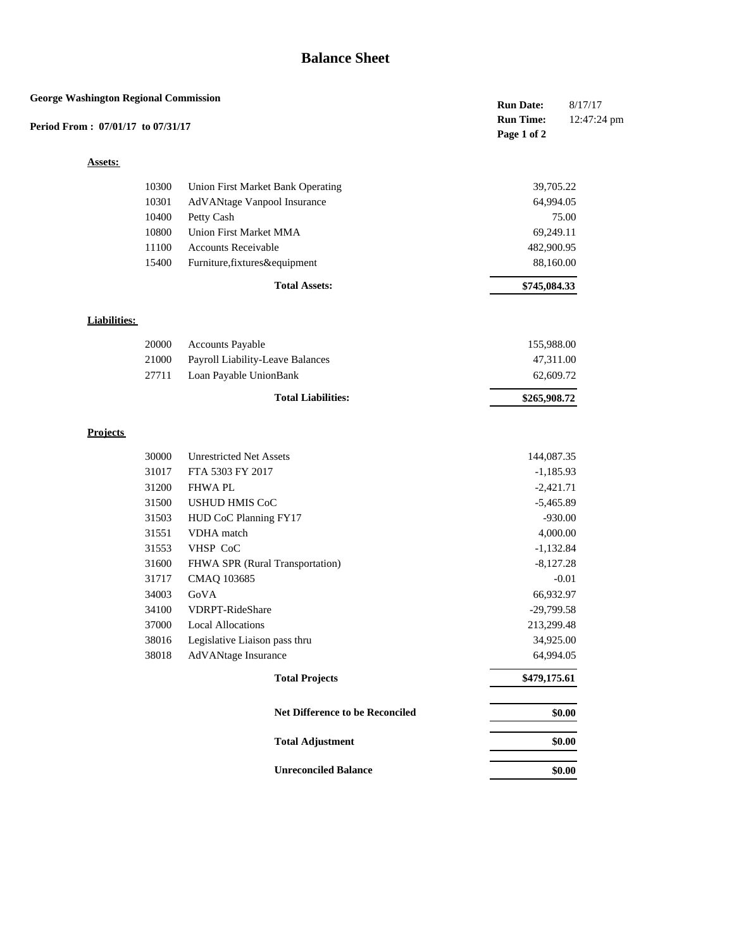| <b>George Washington Regional Commission</b> |                     |       |                                          | <b>Run Date:</b><br><b>Run Time:</b> | 8/17/17<br>12:47:24 pm |
|----------------------------------------------|---------------------|-------|------------------------------------------|--------------------------------------|------------------------|
| Period From: 07/01/17 to 07/31/17            |                     |       |                                          | Page 1 of 2                          |                        |
|                                              | <b>Assets:</b>      |       |                                          |                                      |                        |
|                                              |                     | 10300 | <b>Union First Market Bank Operating</b> | 39,705.22                            |                        |
|                                              |                     | 10301 | AdVANtage Vanpool Insurance              | 64,994.05                            |                        |
|                                              |                     | 10400 | Petty Cash                               |                                      | 75.00                  |
|                                              |                     | 10800 | Union First Market MMA                   | 69,249.11                            |                        |
|                                              |                     | 11100 | Accounts Receivable                      | 482,900.95                           |                        |
|                                              |                     | 15400 | Furniture, fixtures&equipment            | 88,160.00                            |                        |
|                                              |                     |       | <b>Total Assets:</b>                     | \$745,084.33                         |                        |
|                                              |                     |       |                                          |                                      |                        |
|                                              | <b>Liabilities:</b> |       |                                          |                                      |                        |
|                                              |                     | 20000 | Accounts Payable                         | 155,988.00                           |                        |
|                                              |                     | 21000 | Payroll Liability-Leave Balances         | 47,311.00                            |                        |
|                                              |                     | 27711 | Loan Payable UnionBank                   | 62,609.72                            |                        |
|                                              |                     |       | <b>Total Liabilities:</b>                | \$265,908.72                         |                        |
|                                              |                     |       |                                          |                                      |                        |
|                                              | <b>Projects</b>     |       |                                          |                                      |                        |
|                                              |                     | 30000 | <b>Unrestricted Net Assets</b>           | 144,087.35                           |                        |
|                                              |                     | 31017 | FTA 5303 FY 2017                         | $-1,185.93$                          |                        |
|                                              |                     | 31200 | <b>FHWA PL</b>                           | $-2,421.71$                          |                        |
|                                              |                     | 31500 | <b>USHUD HMIS CoC</b>                    | $-5,465.89$                          |                        |
|                                              |                     | 31503 | HUD CoC Planning FY17                    | $-930.00$                            |                        |
|                                              |                     | 31551 | VDHA match                               | 4,000.00                             |                        |
|                                              |                     | 31553 | VHSP CoC                                 | $-1,132.84$                          |                        |
|                                              |                     | 31600 | FHWA SPR (Rural Transportation)          | $-8,127.28$                          |                        |
|                                              |                     | 31717 | CMAQ 103685                              |                                      | $-0.01$                |
|                                              |                     | 34003 | GoVA                                     | 66,932.97                            |                        |
|                                              |                     | 34100 | VDRPT-RideShare                          | $-29,799.58$                         |                        |
|                                              |                     | 37000 | <b>Local Allocations</b>                 | 213,299.48                           |                        |
|                                              |                     | 38016 | Legislative Liaison pass thru            | 34,925.00                            |                        |
|                                              |                     | 38018 | AdVANtage Insurance                      | 64,994.05                            |                        |
|                                              |                     |       | <b>Total Projects</b>                    | \$479,175.61                         |                        |
|                                              |                     |       | Net Difference to be Reconciled          |                                      | \$0.00                 |
|                                              |                     |       | <b>Total Adjustment</b>                  |                                      | \$0.00                 |
|                                              |                     |       |                                          |                                      |                        |
|                                              |                     |       | <b>Unreconciled Balance</b>              |                                      | \$0.00                 |
|                                              |                     |       |                                          |                                      |                        |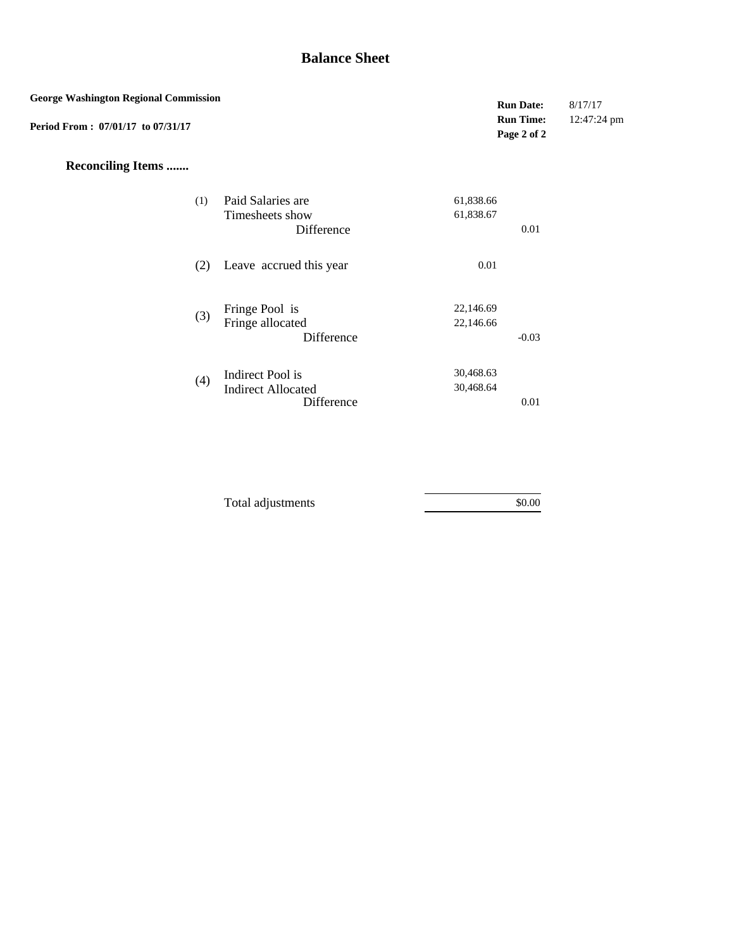| <b>Run Time:</b><br>12:47:24 pm<br>Page 2 of 2<br><b>Reconciling Items </b><br>Paid Salaries are<br>61,838.66<br>(1)<br>Timesheets show<br>61,838.67<br>Difference<br>0.01<br>Leave accrued this year<br>0.01<br>(2)<br>Fringe Pool is<br>22,146.69<br>(3)<br>Fringe allocated<br>22,146.66<br>Difference<br>$-0.03$<br>30,468.63<br>Indirect Pool is<br>(4)<br>30,468.64<br><b>Indirect Allocated</b><br>Difference<br>$0.01\,$ | <b>George Washington Regional Commission</b> |  | <b>Run Date:</b> | 8/17/17 |
|----------------------------------------------------------------------------------------------------------------------------------------------------------------------------------------------------------------------------------------------------------------------------------------------------------------------------------------------------------------------------------------------------------------------------------|----------------------------------------------|--|------------------|---------|
|                                                                                                                                                                                                                                                                                                                                                                                                                                  | Period From: 07/01/17 to 07/31/17            |  |                  |         |
|                                                                                                                                                                                                                                                                                                                                                                                                                                  |                                              |  |                  |         |
|                                                                                                                                                                                                                                                                                                                                                                                                                                  |                                              |  |                  |         |
|                                                                                                                                                                                                                                                                                                                                                                                                                                  |                                              |  |                  |         |
|                                                                                                                                                                                                                                                                                                                                                                                                                                  |                                              |  |                  |         |
|                                                                                                                                                                                                                                                                                                                                                                                                                                  |                                              |  |                  |         |
|                                                                                                                                                                                                                                                                                                                                                                                                                                  |                                              |  |                  |         |

| Total adjustments | \$0.00 |  |
|-------------------|--------|--|
|-------------------|--------|--|